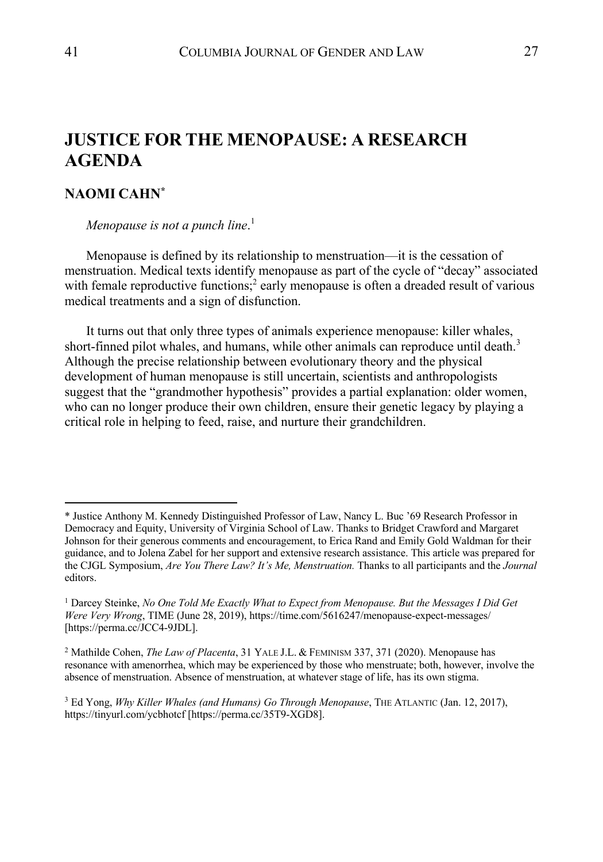# **JUSTICE FOR THE MENOPAUSE: A RESEARCH AGENDA**

## **NAOMI CAHN\***

*Menopause is not a punch line*. 1

Menopause is defined by its relationship to menstruation––it is the cessation of menstruation. Medical texts identify menopause as part of the cycle of "decay" associated with female reproductive functions;<sup>2</sup> early menopause is often a dreaded result of various medical treatments and a sign of disfunction.

It turns out that only three types of animals experience menopause: killer whales, short-finned pilot whales, and humans, while other animals can reproduce until death. $3$ Although the precise relationship between evolutionary theory and the physical development of human menopause is still uncertain, scientists and anthropologists suggest that the "grandmother hypothesis" provides a partial explanation: older women, who can no longer produce their own children, ensure their genetic legacy by playing a critical role in helping to feed, raise, and nurture their grandchildren.

<sup>\*</sup> Justice Anthony M. Kennedy Distinguished Professor of Law, Nancy L. Buc '69 Research Professor in Democracy and Equity, University of Virginia School of Law. Thanks to Bridget Crawford and Margaret Johnson for their generous comments and encouragement, to Erica Rand and Emily Gold Waldman for their guidance, and to Jolena Zabel for her support and extensive research assistance. This article was prepared for the CJGL Symposium, *Are You There Law? It's Me, Menstruation.* Thanks to all participants and the *Journal* editors.

<sup>1</sup> Darcey Steinke, *No One Told Me Exactly What to Expect from Menopause. But the Messages I Did Get Were Very Wrong*, TIME (June 28, 2019), https://time.com/5616247/menopause-expect-messages/ [https://perma.cc/JCC4-9JDL].

<sup>2</sup> Mathilde Cohen, *The Law of Placenta*, 31 YALE J.L. & FEMINISM 337, 371 (2020). Menopause has resonance with amenorrhea, which may be experienced by those who menstruate; both, however, involve the absence of menstruation. Absence of menstruation, at whatever stage of life, has its own stigma.

<sup>3</sup> Ed Yong, *Why Killer Whales (and Humans) Go Through Menopause*, THE ATLANTIC (Jan. 12, 2017), https://tinyurl.com/ycbhotcf [https://perma.cc/35T9-XGD8].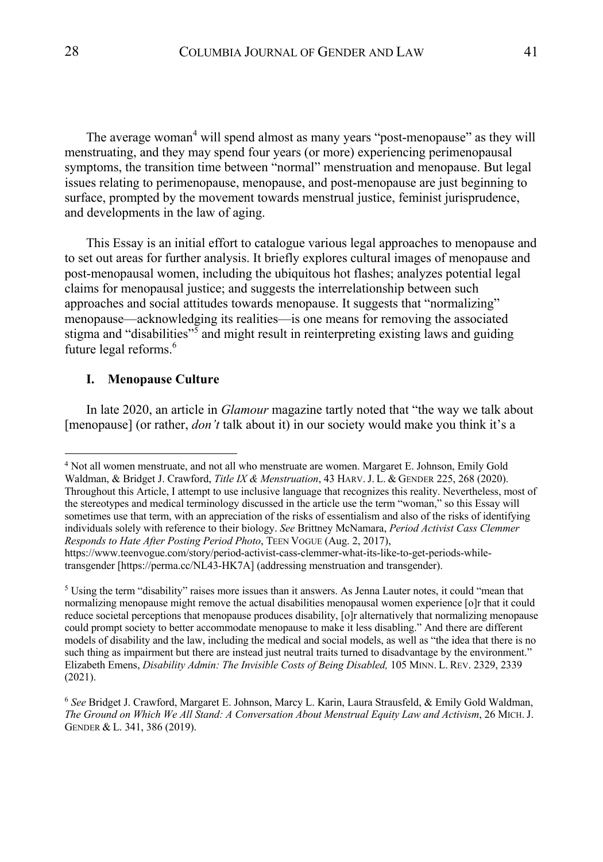The average woman<sup>4</sup> will spend almost as many years "post-menopause" as they will menstruating, and they may spend four years (or more) experiencing perimenopausal symptoms, the transition time between "normal" menstruation and menopause. But legal issues relating to perimenopause, menopause, and post-menopause are just beginning to surface, prompted by the movement towards menstrual justice, feminist jurisprudence, and developments in the law of aging.

This Essay is an initial effort to catalogue various legal approaches to menopause and to set out areas for further analysis. It briefly explores cultural images of menopause and post-menopausal women, including the ubiquitous hot flashes; analyzes potential legal claims for menopausal justice; and suggests the interrelationship between such approaches and social attitudes towards menopause. It suggests that "normalizing" menopause––acknowledging its realities––is one means for removing the associated stigma and "disabilities"<sup>5</sup> and might result in reinterpreting existing laws and guiding future legal reforms.<sup>6</sup>

## **I. Menopause Culture**

In late 2020, an article in *Glamour* magazine tartly noted that "the way we talk about [menopause] (or rather, *don't* talk about it) in our society would make you think it's a

<sup>4</sup> Not all women menstruate, and not all who menstruate are women. Margaret E. Johnson, Emily Gold Waldman, & Bridget J. Crawford, *Title IX & Menstruation*, 43 HARV.J. L. & GENDER 225, 268 (2020). Throughout this Article, I attempt to use inclusive language that recognizes this reality. Nevertheless, most of the stereotypes and medical terminology discussed in the article use the term "woman," so this Essay will sometimes use that term, with an appreciation of the risks of essentialism and also of the risks of identifying individuals solely with reference to their biology. *See* Brittney McNamara, *Period Activist Cass Clemmer Responds to Hate After Posting Period Photo*, TEEN VOGUE (Aug. 2, 2017),

https://www.teenvogue.com/story/period-activist-cass-clemmer-what-its-like-to-get-periods-whiletransgender [https://perma.cc/NL43-HK7A] (addressing menstruation and transgender).

 $<sup>5</sup>$  Using the term "disability" raises more issues than it answers. As Jenna Lauter notes, it could "mean that</sup> normalizing menopause might remove the actual disabilities menopausal women experience [o]r that it could reduce societal perceptions that menopause produces disability, [o]r alternatively that normalizing menopause could prompt society to better accommodate menopause to make it less disabling." And there are different models of disability and the law, including the medical and social models, as well as "the idea that there is no such thing as impairment but there are instead just neutral traits turned to disadvantage by the environment." Elizabeth Emens, *Disability Admin: The Invisible Costs of Being Disabled,* 105 MINN. L. REV. 2329, 2339 (2021).

<sup>6</sup> *See* Bridget J. Crawford, Margaret E. Johnson, Marcy L. Karin, Laura Strausfeld, & Emily Gold Waldman, *The Ground on Which We All Stand: A Conversation About Menstrual Equity Law and Activism*, 26 MICH.J. GENDER & L. 341, 386 (2019).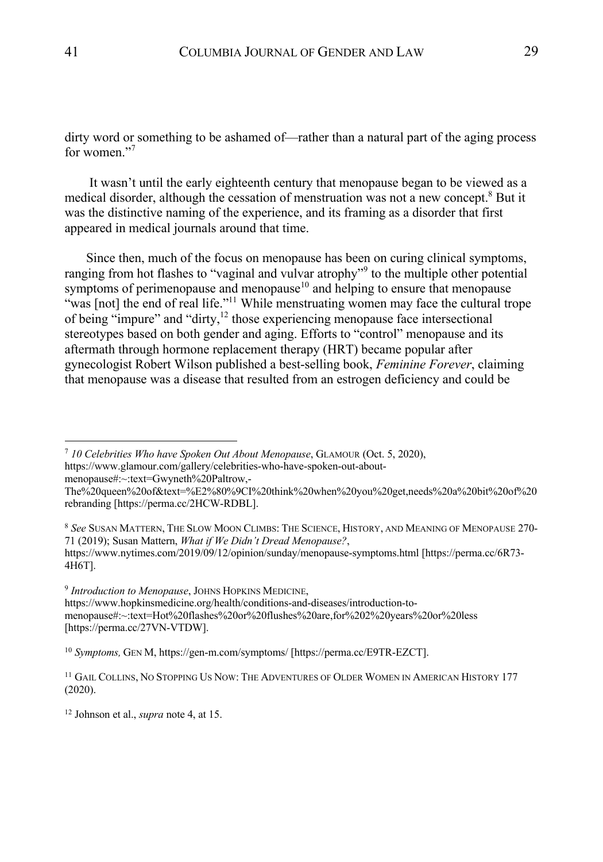dirty word or something to be ashamed of—rather than a natural part of the aging process for women."

It wasn't until the early eighteenth century that menopause began to be viewed as a medical disorder, although the cessation of menstruation was not a new concept. $8$  But it was the distinctive naming of the experience, and its framing as a disorder that first appeared in medical journals around that time.

Since then, much of the focus on menopause has been on curing clinical symptoms, ranging from hot flashes to "vaginal and vulvar atrophy"<sup>9</sup> to the multiple other potential symptoms of perimenopause and menopause<sup>10</sup> and helping to ensure that menopause "was [not] the end of real life."<sup>11</sup> While menstruating women may face the cultural trope of being "impure" and "dirty, $^{12}$  those experiencing menopause face intersectional stereotypes based on both gender and aging. Efforts to "control" menopause and its aftermath through hormone replacement therapy (HRT) became popular after gynecologist Robert Wilson published a best-selling book, *Feminine Forever*, claiming that menopause was a disease that resulted from an estrogen deficiency and could be

<sup>7</sup> *10 Celebrities Who have Spoken Out About Menopause*, GLAMOUR (Oct. 5, 2020), https://www.glamour.com/gallery/celebrities-who-have-spoken-out-aboutmenopause#:~:text=Gwyneth%20Paltrow,-

<sup>9</sup> *Introduction to Menopause*, JOHNS HOPKINS MEDICINE, https://www.hopkinsmedicine.org/health/conditions-and-diseases/introduction-tomenopause#:~:text=Hot%20flashes%20or%20flushes%20are,for%202%20years%20or%20less [https://perma.cc/27VN-VTDW].

<sup>10</sup> *Symptoms,* GEN M, https://gen-m.com/symptoms/ [https://perma.cc/E9TR-EZCT].

<sup>12</sup> Johnson et al., *supra* note 4, at 15.

The%20queen%20of&text=%E2%80%9CI%20think%20when%20you%20get,needs%20a%20bit%20of%20 rebranding [https://perma.cc/2HCW-RDBL].

<sup>8</sup> *See* SUSAN MATTERN, THE SLOW MOON CLIMBS: THE SCIENCE, HISTORY, AND MEANING OF MENOPAUSE 270- 71 (2019); Susan Mattern, *What if We Didn't Dread Menopause?*,

https://www.nytimes.com/2019/09/12/opinion/sunday/menopause-symptoms.html [https://perma.cc/6R73- 4H6T].

<sup>&</sup>lt;sup>11</sup> GAIL COLLINS, NO STOPPING US NOW: THE ADVENTURES OF OLDER WOMEN IN AMERICAN HISTORY 177 (2020).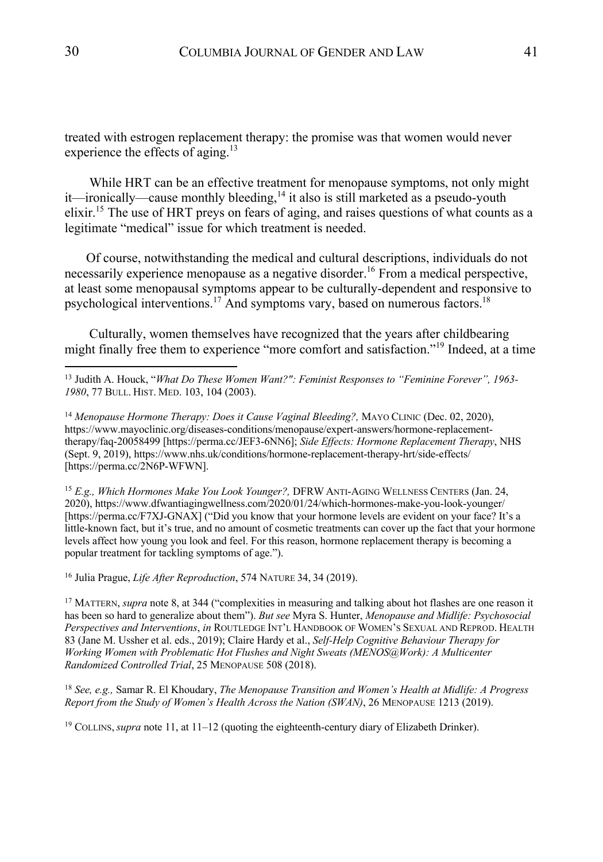treated with estrogen replacement therapy: the promise was that women would never experience the effects of aging.<sup>13</sup>

While HRT can be an effective treatment for menopause symptoms, not only might it—ironically—cause monthly bleeding,<sup>14</sup> it also is still marketed as a pseudo-youth elixir.15 The use of HRT preys on fears of aging, and raises questions of what counts as a legitimate "medical" issue for which treatment is needed.

Of course, notwithstanding the medical and cultural descriptions, individuals do not necessarily experience menopause as a negative disorder.<sup>16</sup> From a medical perspective, at least some menopausal symptoms appear to be culturally-dependent and responsive to psychological interventions.17 And symptoms vary, based on numerous factors.18

Culturally, women themselves have recognized that the years after childbearing might finally free them to experience "more comfort and satisfaction."<sup>19</sup> Indeed, at a time

<sup>14</sup> Menopause Hormone Therapy: Does it Cause Vaginal Bleeding?, MAYO CLINIC (Dec. 02, 2020), https://www.mayoclinic.org/diseases-conditions/menopause/expert-answers/hormone-replacementtherapy/faq-20058499 [https://perma.cc/JEF3-6NN6]; *Side Effects: Hormone Replacement Therapy*, NHS (Sept. 9, 2019), https://www.nhs.uk/conditions/hormone-replacement-therapy-hrt/side-effects/ [https://perma.cc/2N6P-WFWN].

<sup>15</sup> *E.g., Which Hormones Make You Look Younger?,* DFRW ANTI-AGING WELLNESS CENTERS (Jan. 24, 2020), https://www.dfwantiagingwellness.com/2020/01/24/which-hormones-make-you-look-younger/ [https://perma.cc/F7XJ-GNAX] ("Did you know that your hormone levels are evident on your face? It's a little-known fact, but it's true, and no amount of cosmetic treatments can cover up the fact that your hormone levels affect how young you look and feel. For this reason, hormone replacement therapy is becoming a popular treatment for tackling symptoms of age.").

<sup>16</sup> Julia Prague, *Life After Reproduction*, 574 NATURE 34, 34 (2019).

<sup>17</sup> MATTERN, *supra* note 8, at 344 ("complexities in measuring and talking about hot flashes are one reason it has been so hard to generalize about them"). *But see* Myra S. Hunter, *Menopause and Midlife: Psychosocial Perspectives and Interventions*, *in* ROUTLEDGE INT'L HANDBOOK OF WOMEN'S SEXUAL AND REPROD. HEALTH 83 (Jane M. Ussher et al. eds., 2019); Claire Hardy et al., *Self-Help Cognitive Behaviour Therapy for Working Women with Problematic Hot Flushes and Night Sweats (MENOS@Work): A Multicenter Randomized Controlled Trial*, 25 MENOPAUSE 508 (2018).

<sup>18</sup> *See, e.g.,* Samar R. El Khoudary, *The Menopause Transition and Women's Health at Midlife: A Progress Report from the Study of Women's Health Across the Nation (SWAN)*, 26 MENOPAUSE 1213 (2019).

<sup>19</sup> COLLINS,*supra* note 11, at 11–12 (quoting the eighteenth-century diary of Elizabeth Drinker).

<sup>13</sup> Judith A. Houck, "*What Do These Women Want?": Feminist Responses to "Feminine Forever", 1963- 1980*, 77 BULL. HIST. MED. 103, 104 (2003).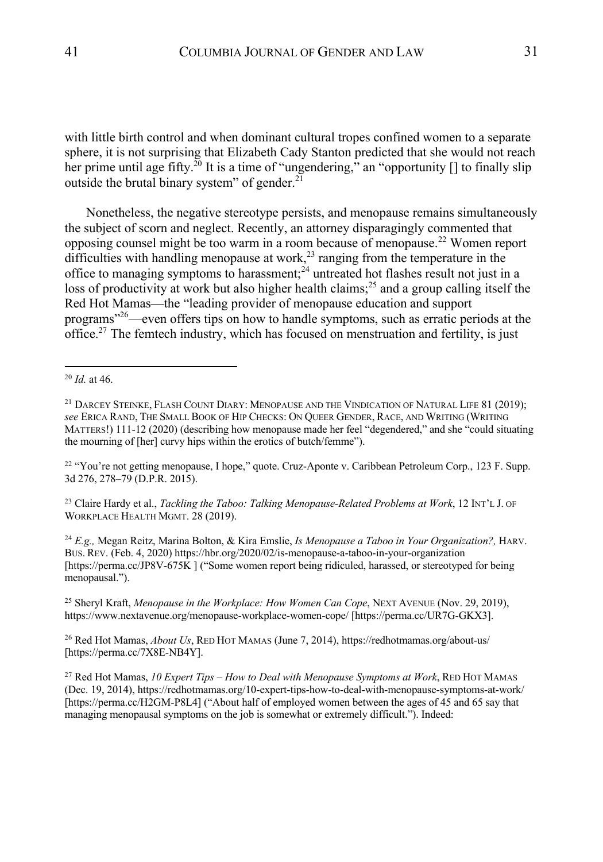with little birth control and when dominant cultural tropes confined women to a separate sphere, it is not surprising that Elizabeth Cady Stanton predicted that she would not reach her prime until age fifty.<sup>20</sup> It is a time of "ungendering," an "opportunity  $\lceil \rceil$  to finally slip outside the brutal binary system" of gender.<sup>21</sup>

Nonetheless, the negative stereotype persists, and menopause remains simultaneously the subject of scorn and neglect. Recently, an attorney disparagingly commented that opposing counsel might be too warm in a room because of menopause.<sup>22</sup> Women report difficulties with handling menopause at work,<sup>23</sup> ranging from the temperature in the office to managing symptoms to harassment;<sup>24</sup> untreated hot flashes result not just in a loss of productivity at work but also higher health claims;<sup>25</sup> and a group calling itself the Red Hot Mamas—the "leading provider of menopause education and support programs"26—even offers tips on how to handle symptoms, such as erratic periods at the office.<sup>27</sup> The femtech industry, which has focused on menstruation and fertility, is just

<sup>22</sup> "You're not getting menopause, I hope," quote. Cruz-Aponte v. Caribbean Petroleum Corp., 123 F. Supp. 3d 276, 278–79 (D.P.R. 2015).

<sup>23</sup> Claire Hardy et al., *Tackling the Taboo: Talking Menopause-Related Problems at Work*, 12 INT'L J. OF WORKPLACE HEALTH MGMT. 28 (2019).

<sup>24</sup> *E.g.,* Megan Reitz, Marina Bolton, & Kira Emslie, *Is Menopause a Taboo in Your Organization?,* HARV. BUS. REV. (Feb. 4, 2020) https://hbr.org/2020/02/is-menopause-a-taboo-in-your-organization [https://perma.cc/JP8V-675K ] ("Some women report being ridiculed, harassed, or stereotyped for being menopausal.").

<sup>25</sup> Sheryl Kraft, *Menopause in the Workplace: How Women Can Cope*, NEXT AVENUE (Nov. 29, 2019), https://www.nextavenue.org/menopause-workplace-women-cope/ [https://perma.cc/UR7G-GKX3].

<sup>26</sup> Red Hot Mamas, *About Us*, RED HOT MAMAS (June 7, 2014), https://redhotmamas.org/about-us/ [https://perma.cc/7X8E-NB4Y].

<sup>27</sup> Red Hot Mamas, *10 Expert Tips – How to Deal with Menopause Symptoms at Work*, RED HOT MAMAS (Dec. 19, 2014), https://redhotmamas.org/10-expert-tips-how-to-deal-with-menopause-symptoms-at-work/ [https://perma.cc/H2GM-P8L4] ("About half of employed women between the ages of 45 and 65 say that managing menopausal symptoms on the job is somewhat or extremely difficult."). Indeed:

<sup>20</sup> *Id.* at 46.

<sup>&</sup>lt;sup>21</sup> DARCEY STEINKE, FLASH COUNT DIARY: MENOPAUSE AND THE VINDICATION OF NATURAL LIFE 81 (2019); *see* ERICA RAND, THE SMALL BOOK OF HIP CHECKS: ON QUEER GENDER, RACE, AND WRITING (WRITING MATTERS!) 111-12 (2020) (describing how menopause made her feel "degendered," and she "could situating the mourning of [her] curvy hips within the erotics of butch/femme").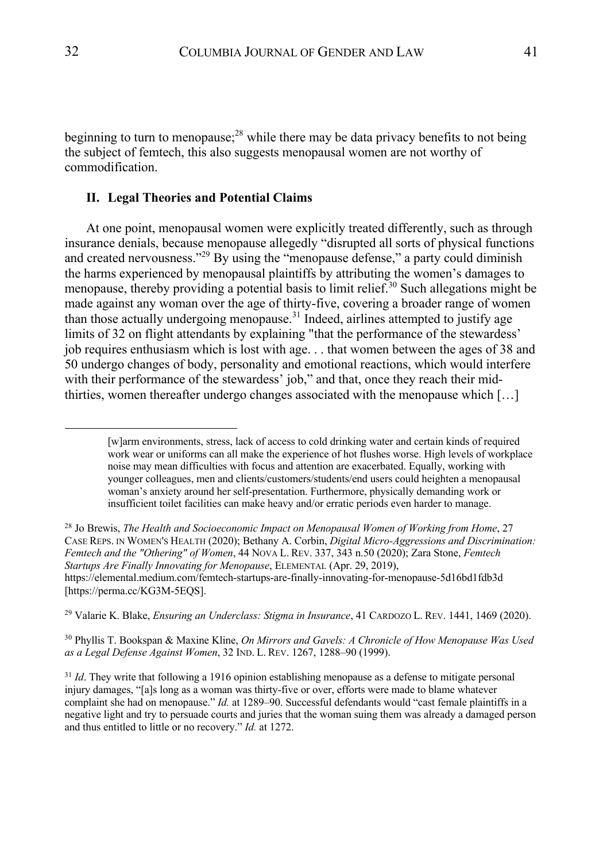beginning to turn to menopause; $^{28}$  while there may be data privacy benefits to not being the subject of femtech, this also suggests menopausal women are not worthy of commodification.

## **II. Legal Theories and Potential Claims**

At one point, menopausal women were explicitly treated differently, such as through insurance denials, because menopause allegedly "disrupted all sorts of physical functions and created nervousness."29 By using the "menopause defense," a party could diminish the harms experienced by menopausal plaintiffs by attributing the women's damages to menopause, thereby providing a potential basis to limit relief.<sup>30</sup> Such allegations might be made against any woman over the age of thirty-five, covering a broader range of women than those actually undergoing menopause.<sup>31</sup> Indeed, airlines attempted to justify age limits of 32 on flight attendants by explaining "that the performance of the stewardess' job requires enthusiasm which is lost with age. . . that women between the ages of 38 and 50 undergo changes of body, personality and emotional reactions, which would interfere with their performance of the stewardess' job," and that, once they reach their midthirties, women thereafter undergo changes associated with the menopause which […]

<sup>29</sup> Valarie K. Blake, *Ensuring an Underclass: Stigma in Insurance*, 41 CARDOZO L. REV. 1441, 1469 (2020).

<sup>30</sup> Phyllis T. Bookspan & Maxine Kline, *On Mirrors and Gavels: A Chronicle of How Menopause Was Used as a Legal Defense Against Women*, 32 IND. L. REV. 1267, 1288–90 (1999).

<sup>[</sup>w]arm environments, stress, lack of access to cold drinking water and certain kinds of required work wear or uniforms can all make the experience of hot flushes worse. High levels of workplace noise may mean difficulties with focus and attention are exacerbated. Equally, working with younger colleagues, men and clients/customers/students/end users could heighten a menopausal woman's anxiety around her self-presentation. Furthermore, physically demanding work or insufficient toilet facilities can make heavy and/or erratic periods even harder to manage.

<sup>28</sup> Jo Brewis, *The Health and Socioeconomic Impact on Menopausal Women of Working from Home*, 27 CASE REPS. IN WOMEN'S HEALTH (2020); Bethany A. Corbin, *Digital Micro-Aggressions and Discrimination: Femtech and the "Othering" of Women*, 44 NOVA L. REV. 337, 343 n.50 (2020); Zara Stone, *Femtech Startups Are Finally Innovating for Menopause*, ELEMENTAL (Apr. 29, 2019), https://elemental.medium.com/femtech-startups-are-finally-innovating-for-menopause-5d16bd1fdb3d [https://perma.cc/KG3M-5EQS].

<sup>&</sup>lt;sup>31</sup> *Id*. They write that following a 1916 opinion establishing menopause as a defense to mitigate personal injury damages, "[a]s long as a woman was thirty-five or over, efforts were made to blame whatever complaint she had on menopause." *Id.* at 1289–90. Successful defendants would "cast female plaintiffs in a negative light and try to persuade courts and juries that the woman suing them was already a damaged person and thus entitled to little or no recovery." *Id.* at 1272.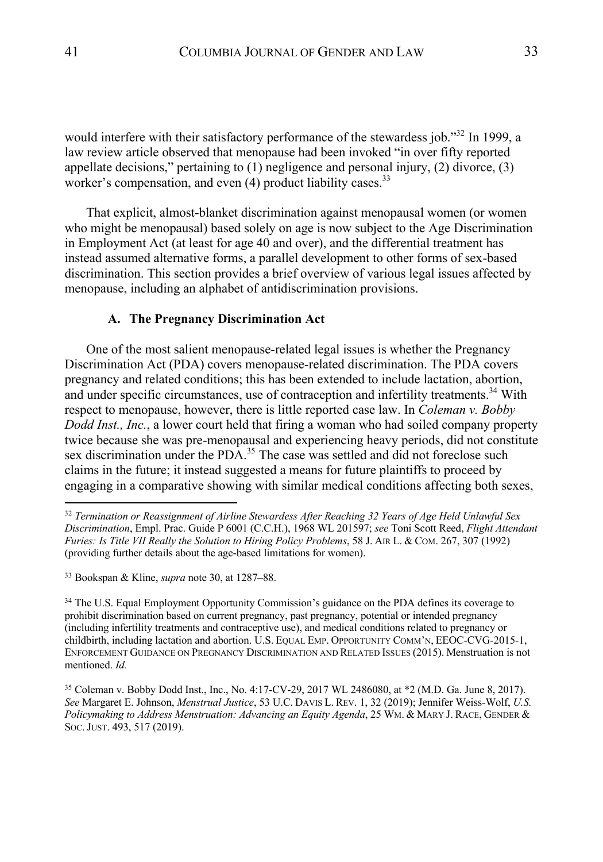would interfere with their satisfactory performance of the stewardess job."<sup>32</sup> In 1999, a law review article observed that menopause had been invoked "in over fifty reported appellate decisions," pertaining to (1) negligence and personal injury, (2) divorce, (3) worker's compensation, and even  $(4)$  product liability cases.<sup>33</sup>

That explicit, almost-blanket discrimination against menopausal women (or women who might be menopausal) based solely on age is now subject to the Age Discrimination in Employment Act (at least for age 40 and over), and the differential treatment has instead assumed alternative forms, a parallel development to other forms of sex-based discrimination. This section provides a brief overview of various legal issues affected by menopause, including an alphabet of antidiscrimination provisions.

## **A. The Pregnancy Discrimination Act**

One of the most salient menopause-related legal issues is whether the Pregnancy Discrimination Act (PDA) covers menopause-related discrimination. The PDA covers pregnancy and related conditions; this has been extended to include lactation, abortion, and under specific circumstances, use of contraception and infertility treatments.<sup>34</sup> With respect to menopause, however, there is little reported case law. In *Coleman v. Bobby Dodd Inst., Inc.*, a lower court held that firing a woman who had soiled company property twice because she was pre-menopausal and experiencing heavy periods, did not constitute sex discrimination under the PDA.<sup>35</sup> The case was settled and did not foreclose such claims in the future; it instead suggested a means for future plaintiffs to proceed by engaging in a comparative showing with similar medical conditions affecting both sexes,

<sup>33</sup> Bookspan & Kline, *supra* note 30, at 1287–88.

<sup>34</sup> The U.S. Equal Employment Opportunity Commission's guidance on the PDA defines its coverage to prohibit discrimination based on current pregnancy, past pregnancy, potential or intended pregnancy (including infertility treatments and contraceptive use), and medical conditions related to pregnancy or childbirth, including lactation and abortion. U.S. EQUAL EMP. OPPORTUNITY COMM'N, EEOC-CVG-2015-1, ENFORCEMENT GUIDANCE ON PREGNANCY DISCRIMINATION AND RELATED ISSUES (2015). Menstruation is not mentioned. *Id.*

<sup>35</sup> Coleman v. Bobby Dodd Inst., Inc., No. 4:17-CV-29, 2017 WL 2486080, at \*2 (M.D. Ga. June 8, 2017). *See* Margaret E. Johnson, *Menstrual Justice*, 53 U.C. DAVIS L. REV. 1, 32 (2019); Jennifer Weiss-Wolf, *U.S. Policymaking to Address Menstruation: Advancing an Equity Agenda*, 25 WM. & MARY J. RACE, GENDER & SOC.JUST. 493, 517 (2019).

<sup>32</sup> *Termination or Reassignment of Airline Stewardess After Reaching 32 Years of Age Held Unlawful Sex Discrimination*, Empl. Prac. Guide P 6001 (C.C.H.), 1968 WL 201597; *see* Toni Scott Reed, *Flight Attendant Furies: Is Title VII Really the Solution to Hiring Policy Problems*, 58 J. AIR L. & COM. 267, 307 (1992) (providing further details about the age-based limitations for women).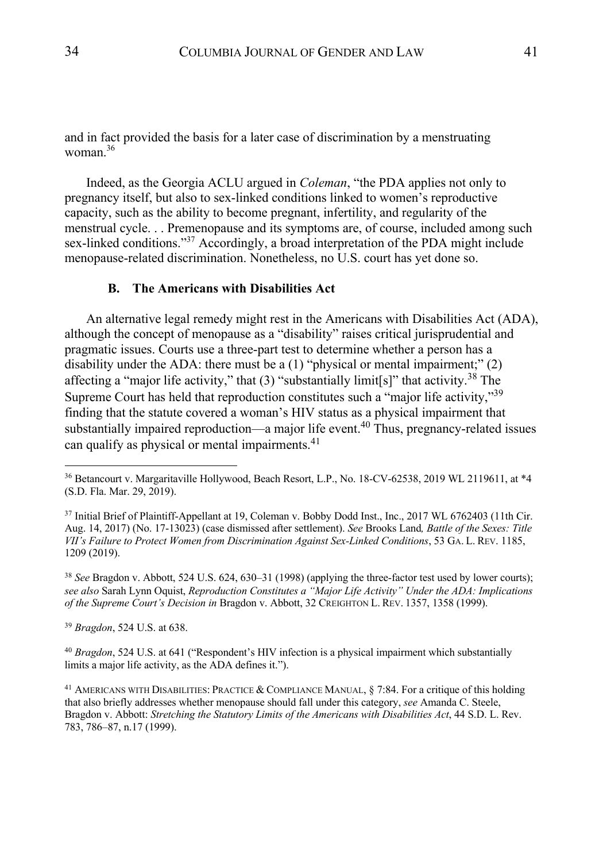and in fact provided the basis for a later case of discrimination by a menstruating woman. $36$ 

Indeed, as the Georgia ACLU argued in *Coleman*, "the PDA applies not only to pregnancy itself, but also to sex-linked conditions linked to women's reproductive capacity, such as the ability to become pregnant, infertility, and regularity of the menstrual cycle. . . Premenopause and its symptoms are, of course, included among such sex-linked conditions."<sup>37</sup> Accordingly, a broad interpretation of the PDA might include menopause-related discrimination. Nonetheless, no U.S. court has yet done so.

#### **B. The Americans with Disabilities Act**

An alternative legal remedy might rest in the Americans with Disabilities Act (ADA), although the concept of menopause as a "disability" raises critical jurisprudential and pragmatic issues. Courts use a three-part test to determine whether a person has a disability under the ADA: there must be a  $(1)$  "physical or mental impairment;"  $(2)$ affecting a "major life activity," that  $(3)$  "substantially limit[s]" that activity.<sup>38</sup> The Supreme Court has held that reproduction constitutes such a "major life activity,"39 finding that the statute covered a woman's HIV status as a physical impairment that substantially impaired reproduction—a major life event.<sup>40</sup> Thus, pregnancy-related issues can qualify as physical or mental impairments. $41$ 

<sup>38</sup> *See* Bragdon v. Abbott, 524 U.S. 624, 630–31 (1998) (applying the three-factor test used by lower courts); *see also* Sarah Lynn Oquist, *Reproduction Constitutes a "Major Life Activity" Under the ADA: Implications of the Supreme Court's Decision in* Bragdon v. Abbott, 32 CREIGHTON L. REV. 1357, 1358 (1999).

<sup>39</sup> *Bragdon*, 524 U.S. at 638.

<sup>40</sup> *Bragdon*, 524 U.S. at 641 ("Respondent's HIV infection is a physical impairment which substantially limits a major life activity, as the ADA defines it.").

<sup>41</sup> AMERICANS WITH DISABILITIES: PRACTICE & COMPLIANCE MANUAL, § 7:84. For a critique of this holding that also briefly addresses whether menopause should fall under this category, *see* Amanda C. Steele, Bragdon v. Abbott: *Stretching the Statutory Limits of the Americans with Disabilities Act*, 44 S.D. L. Rev. 783, 786–87, n.17 (1999).

<sup>36</sup> Betancourt v. Margaritaville Hollywood, Beach Resort, L.P., No. 18-CV-62538, 2019 WL 2119611, at \*4 (S.D. Fla. Mar. 29, 2019).

<sup>&</sup>lt;sup>37</sup> Initial Brief of Plaintiff-Appellant at 19, Coleman v. Bobby Dodd Inst., Inc., 2017 WL 6762403 (11th Cir. Aug. 14, 2017) (No. 17-13023) (case dismissed after settlement). *See* Brooks Land*, Battle of the Sexes: Title VII's Failure to Protect Women from Discrimination Against Sex-Linked Conditions*, 53 GA. L. REV. 1185, 1209 (2019).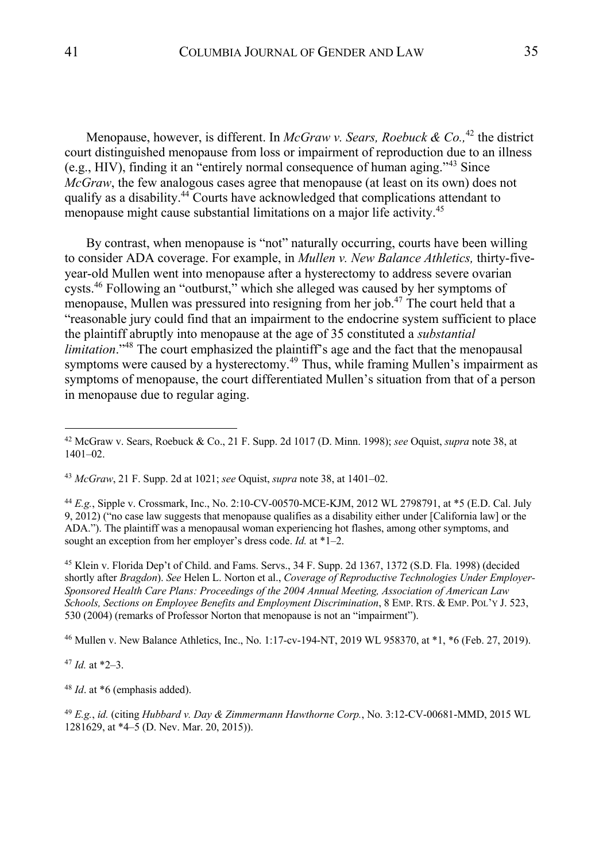Menopause, however, is different. In *McGraw v. Sears, Roebuck & Co.*<sup>42</sup> the district court distinguished menopause from loss or impairment of reproduction due to an illness (e.g., HIV), finding it an "entirely normal consequence of human aging."<sup>43</sup> Since *McGraw*, the few analogous cases agree that menopause (at least on its own) does not qualify as a disability.44 Courts have acknowledged that complications attendant to menopause might cause substantial limitations on a major life activity.<sup>45</sup>

By contrast, when menopause is "not" naturally occurring, courts have been willing to consider ADA coverage. For example, in *Mullen v. New Balance Athletics,* thirty-fiveyear-old Mullen went into menopause after a hysterectomy to address severe ovarian cysts.<sup>46</sup> Following an "outburst," which she alleged was caused by her symptoms of menopause, Mullen was pressured into resigning from her job.<sup>47</sup> The court held that a "reasonable jury could find that an impairment to the endocrine system sufficient to place the plaintiff abruptly into menopause at the age of 35 constituted a *substantial limitation*."<sup>48</sup> The court emphasized the plaintiff's age and the fact that the menopausal symptoms were caused by a hysterectomy.<sup>49</sup> Thus, while framing Mullen's impairment as symptoms of menopause, the court differentiated Mullen's situation from that of a person in menopause due to regular aging.

<sup>44</sup> *E.g.*, Sipple v. Crossmark, Inc., No. 2:10-CV-00570-MCE-KJM, 2012 WL 2798791, at \*5 (E.D. Cal. July 9, 2012) ("no case law suggests that menopause qualifies as a disability either under [California law] or the ADA."). The plaintiff was a menopausal woman experiencing hot flashes, among other symptoms, and sought an exception from her employer's dress code. *Id.* at \*1–2.

<sup>45</sup> Klein v. Florida Dep't of Child. and Fams. Servs., 34 F. Supp. 2d 1367, 1372 (S.D. Fla. 1998) (decided shortly after *Bragdon*). *See* Helen L. Norton et al., *Coverage of Reproductive Technologies Under Employer-Sponsored Health Care Plans: Proceedings of the 2004 Annual Meeting, Association of American Law Schools, Sections on Employee Benefits and Employment Discrimination*, 8 EMP. RTS. & EMP. POL'Y J. 523, 530 (2004) (remarks of Professor Norton that menopause is not an "impairment").

<sup>46</sup> Mullen v. New Balance Athletics, Inc., No. 1:17-cv-194-NT, 2019 WL 958370, at \*1, \*6 (Feb. 27, 2019).

 $47$  *Id.* at \*2-3.

<sup>48</sup> *Id*. at \*6 (emphasis added).

<sup>49</sup> *E.g.*, *id.* (citing *Hubbard v. Day & Zimmermann Hawthorne Corp.*, No. 3:12-CV-00681-MMD, 2015 WL 1281629, at \*4–5 (D. Nev. Mar. 20, 2015)).

<sup>42</sup> McGraw v. Sears, Roebuck & Co., 21 F. Supp. 2d 1017 (D. Minn. 1998); *see* Oquist, *supra* note 38, at 1401–02.

<sup>43</sup> *McGraw*, 21 F. Supp. 2d at 1021; *see* Oquist, *supra* note 38, at 1401–02.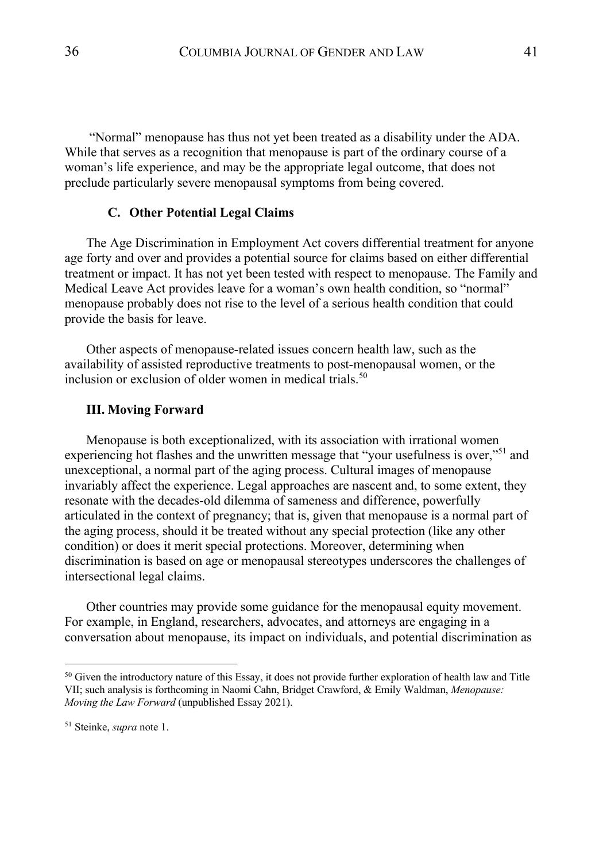"Normal" menopause has thus not yet been treated as a disability under the ADA. While that serves as a recognition that menopause is part of the ordinary course of a woman's life experience, and may be the appropriate legal outcome, that does not preclude particularly severe menopausal symptoms from being covered.

#### **C. Other Potential Legal Claims**

The Age Discrimination in Employment Act covers differential treatment for anyone age forty and over and provides a potential source for claims based on either differential treatment or impact. It has not yet been tested with respect to menopause. The Family and Medical Leave Act provides leave for a woman's own health condition, so "normal" menopause probably does not rise to the level of a serious health condition that could provide the basis for leave.

Other aspects of menopause-related issues concern health law, such as the availability of assisted reproductive treatments to post-menopausal women, or the inclusion or exclusion of older women in medical trials. $50$ 

#### **III. Moving Forward**

Menopause is both exceptionalized, with its association with irrational women experiencing hot flashes and the unwritten message that "your usefulness is over,"<sup>51</sup> and unexceptional, a normal part of the aging process. Cultural images of menopause invariably affect the experience. Legal approaches are nascent and, to some extent, they resonate with the decades-old dilemma of sameness and difference, powerfully articulated in the context of pregnancy; that is, given that menopause is a normal part of the aging process, should it be treated without any special protection (like any other condition) or does it merit special protections. Moreover, determining when discrimination is based on age or menopausal stereotypes underscores the challenges of intersectional legal claims.

Other countries may provide some guidance for the menopausal equity movement. For example, in England, researchers, advocates, and attorneys are engaging in a conversation about menopause, its impact on individuals, and potential discrimination as

 $50$  Given the introductory nature of this Essay, it does not provide further exploration of health law and Title VII; such analysis is forthcoming in Naomi Cahn, Bridget Crawford, & Emily Waldman, *Menopause: Moving the Law Forward* (unpublished Essay 2021).

<sup>51</sup> Steinke, *supra* note 1.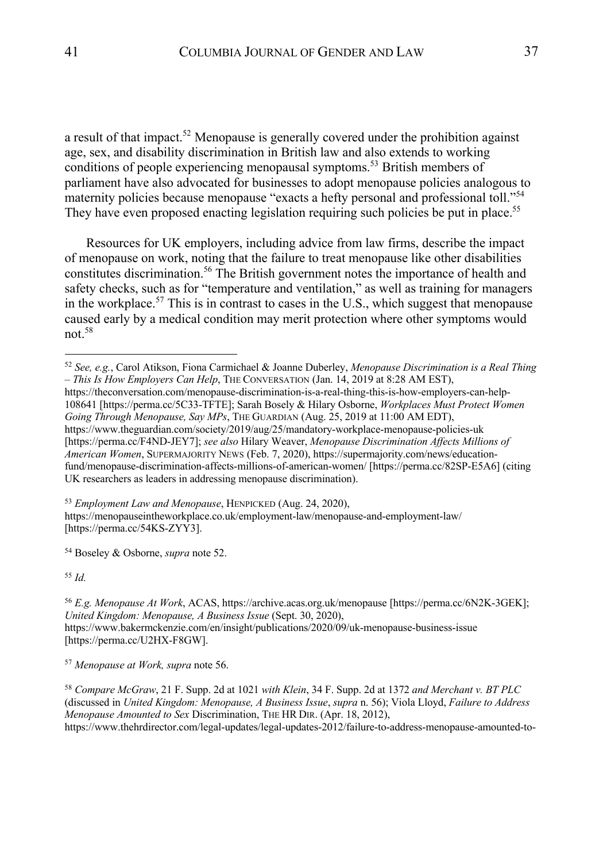a result of that impact.<sup>52</sup> Menopause is generally covered under the prohibition against age, sex, and disability discrimination in British law and also extends to working conditions of people experiencing menopausal symptoms.<sup>53</sup> British members of parliament have also advocated for businesses to adopt menopause policies analogous to maternity policies because menopause "exacts a hefty personal and professional toll."<sup>54</sup> They have even proposed enacting legislation requiring such policies be put in place.<sup>55</sup>

Resources for UK employers, including advice from law firms, describe the impact of menopause on work, noting that the failure to treat menopause like other disabilities constitutes discrimination.<sup>56</sup> The British government notes the importance of health and safety checks, such as for "temperature and ventilation," as well as training for managers in the workplace.<sup>57</sup> This is in contrast to cases in the U.S., which suggest that menopause caused early by a medical condition may merit protection where other symptoms would not.58

<sup>53</sup> *Employment Law and Menopause*, HENPICKED (Aug. 24, 2020), https://menopauseintheworkplace.co.uk/employment-law/menopause-and-employment-law/ [https://perma.cc/54KS-ZYY3].

<sup>54</sup> Boseley & Osborne, *supra* note 52.

<sup>55</sup> *Id.*

<sup>56</sup> *E.g. Menopause At Work*, ACAS, https://archive.acas.org.uk/menopause [https://perma.cc/6N2K-3GEK]; *United Kingdom: Menopause, A Business Issue* (Sept. 30, 2020), https://www.bakermckenzie.com/en/insight/publications/2020/09/uk-menopause-business-issue [https://perma.cc/U2HX-F8GW].

<sup>57</sup> *Menopause at Work, supra* note 56.

<sup>58</sup> *Compare McGraw*, 21 F. Supp. 2d at 1021 *with Klein*, 34 F. Supp. 2d at 1372 *and Merchant v. BT PLC*  (discussed in *United Kingdom: Menopause, A Business Issue*, *supra* n. 56); Viola Lloyd, *Failure to Address Menopause Amounted to Sex* Discrimination, THE HR DIR. (Apr. 18, 2012), https://www.thehrdirector.com/legal-updates/legal-updates-2012/failure-to-address-menopause-amounted-to-

<sup>52</sup> *See, e.g.*, Carol Atikson, Fiona Carmichael & Joanne Duberley, *Menopause Discrimination is a Real Thing – This Is How Employers Can Help*, THE CONVERSATION (Jan. 14, 2019 at 8:28 AM EST), https://theconversation.com/menopause-discrimination-is-a-real-thing-this-is-how-employers-can-help-108641 [https://perma.cc/5C33-TFTE]; Sarah Bosely & Hilary Osborne, *Workplaces Must Protect Women Going Through Menopause, Say MPs*, THE GUARDIAN (Aug. 25, 2019 at 11:00 AM EDT), https://www.theguardian.com/society/2019/aug/25/mandatory-workplace-menopause-policies-uk [https://perma.cc/F4ND-JEY7]; *see also* Hilary Weaver, *Menopause Discrimination Affects Millions of American Women*, SUPERMAJORITY NEWS (Feb. 7, 2020), https://supermajority.com/news/educationfund/menopause-discrimination-affects-millions-of-american-women/ [https://perma.cc/82SP-E5A6] (citing UK researchers as leaders in addressing menopause discrimination).